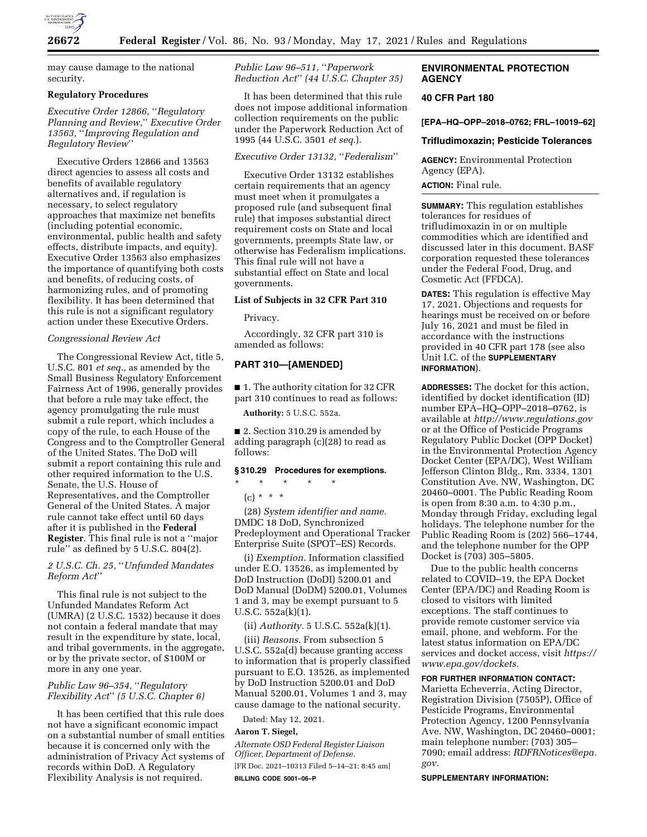

may cause damage to the national security.

### **Regulatory Procedures**

*Executive Order 12866,* ''*Regulatory Planning and Review,*'' *Executive Order 13563,* ''*Improving Regulation and Regulatory Review*''

Executive Orders 12866 and 13563 direct agencies to assess all costs and benefits of available regulatory alternatives and, if regulation is necessary, to select regulatory approaches that maximize net benefits (including potential economic, environmental, public health and safety effects, distribute impacts, and equity). Executive Order 13563 also emphasizes the importance of quantifying both costs and benefits, of reducing costs, of harmonizing rules, and of promoting flexibility. It has been determined that this rule is not a significant regulatory action under these Executive Orders.

### *Congressional Review Act*

The Congressional Review Act, title 5, U.S.C. 801 *et seq.,* as amended by the Small Business Regulatory Enforcement Fairness Act of 1996, generally provides that before a rule may take effect, the agency promulgating the rule must submit a rule report, which includes a copy of the rule, to each House of the Congress and to the Comptroller General of the United States. The DoD will submit a report containing this rule and other required information to the U.S. Senate, the U.S. House of Representatives, and the Comptroller General of the United States. A major rule cannot take effect until 60 days after it is published in the **Federal Register**. This final rule is not a ''major rule'' as defined by 5 U.S.C. 804(2).

# *2 U.S.C. Ch. 25,* ''*Unfunded Mandates Reform Act*''

This final rule is not subject to the Unfunded Mandates Reform Act (UMRA) (2 U.S.C. 1532) because it does not contain a federal mandate that may result in the expenditure by state, local, and tribal governments, in the aggregate, or by the private sector, of \$100M or more in any one year.

# *Public Law 96–354,* ''*Regulatory Flexibility Act*'' *(5 U.S.C. Chapter 6)*

It has been certified that this rule does not have a significant economic impact on a substantial number of small entities because it is concerned only with the administration of Privacy Act systems of records within DoD. A Regulatory Flexibility Analysis is not required.

*Public Law 96–511,* ''*Paperwork Reduction Act*'' *(44 U.S.C. Chapter 35)* 

It has been determined that this rule does not impose additional information collection requirements on the public under the Paperwork Reduction Act of 1995 (44 U.S.C. 3501 *et seq.*).

# *Executive Order 13132,* ''*Federalism*''

Executive Order 13132 establishes certain requirements that an agency must meet when it promulgates a proposed rule (and subsequent final rule) that imposes substantial direct requirement costs on State and local governments, preempts State law, or otherwise has Federalism implications. This final rule will not have a substantial effect on State and local governments.

### **List of Subjects in 32 CFR Part 310**

Privacy.

Accordingly, 32 CFR part 310 is amended as follows:

## **PART 310—[AMENDED]**

■ 1. The authority citation for 32 CFR part 310 continues to read as follows:

**Authority:** 5 U.S.C. 552a.

■ 2. Section 310.29 is amended by adding paragraph (c)(28) to read as follows:

# **§ 310.29 Procedures for exemptions.**

\* \* \* \* \*  $(c) * * * *$ 

(28) *System identifier and name.*  DMDC 18 DoD, Synchronized Predeployment and Operational Tracker Enterprise Suite (SPOT–ES) Records.

(i) *Exemption.* Information classified under E.O. 13526, as implemented by DoD Instruction (DoDI) 5200.01 and DoD Manual (DoDM) 5200.01, Volumes 1 and 3, may be exempt pursuant to 5 U.S.C. 552a(k)(1).

(ii) *Authority.* 5 U.S.C. 552a(k)(1).

(iii) *Reasons.* From subsection 5 U.S.C. 552a(d) because granting access to information that is properly classified pursuant to E.O. 13526, as implemented by DoD Instruction 5200.01 and DoD Manual 5200.01, Volumes 1 and 3, may cause damage to the national security.

Dated: May 12, 2021.

# **Aaron T. Siegel,**

*Alternate OSD Federal Register Liaison Officer, Department of Defense.*  [FR Doc. 2021–10313 Filed 5–14–21; 8:45 am] **BILLING CODE 5001–06–P** 

# **ENVIRONMENTAL PROTECTION AGENCY**

## **40 CFR Part 180**

**[EPA–HQ–OPP–2018–0762; FRL–10019–62]** 

#### **Trifludimoxazin; Pesticide Tolerances**

**AGENCY:** Environmental Protection Agency (EPA).

# **ACTION:** Final rule.

**SUMMARY:** This regulation establishes tolerances for residues of trifludimoxazin in or on multiple commodities which are identified and discussed later in this document. BASF corporation requested these tolerances under the Federal Food, Drug, and Cosmetic Act (FFDCA).

**DATES:** This regulation is effective May 17, 2021. Objections and requests for hearings must be received on or before July 16, 2021 and must be filed in accordance with the instructions provided in 40 CFR part 178 (see also Unit I.C. of the **SUPPLEMENTARY INFORMATION**).

**ADDRESSES:** The docket for this action, identified by docket identification (ID) number EPA–HQ–OPP–2018–0762, is available at *<http://www.regulations.gov>* or at the Office of Pesticide Programs Regulatory Public Docket (OPP Docket) in the Environmental Protection Agency Docket Center (EPA/DC), West William Jefferson Clinton Bldg., Rm. 3334, 1301 Constitution Ave. NW, Washington, DC 20460–0001. The Public Reading Room is open from 8:30 a.m. to 4:30 p.m., Monday through Friday, excluding legal holidays. The telephone number for the Public Reading Room is (202) 566–1744, and the telephone number for the OPP Docket is (703) 305–5805.

Due to the public health concerns related to COVID–19, the EPA Docket Center (EPA/DC) and Reading Room is closed to visitors with limited exceptions. The staff continues to provide remote customer service via email, phone, and webform. For the latest status information on EPA/DC services and docket access, visit *[https://](https://www.epa.gov/dockets) [www.epa.gov/dockets.](https://www.epa.gov/dockets)* 

# **FOR FURTHER INFORMATION CONTACT:**

Marietta Echeverria, Acting Director, Registration Division (7505P), Office of Pesticide Programs, Environmental Protection Agency, 1200 Pennsylvania Ave. NW, Washington, DC 20460–0001; main telephone number: (703) 305– 7090; email address: *[RDFRNotices@epa.](mailto:RDFRNotices@epa.gov) [gov.](mailto:RDFRNotices@epa.gov)* 

#### **SUPPLEMENTARY INFORMATION:**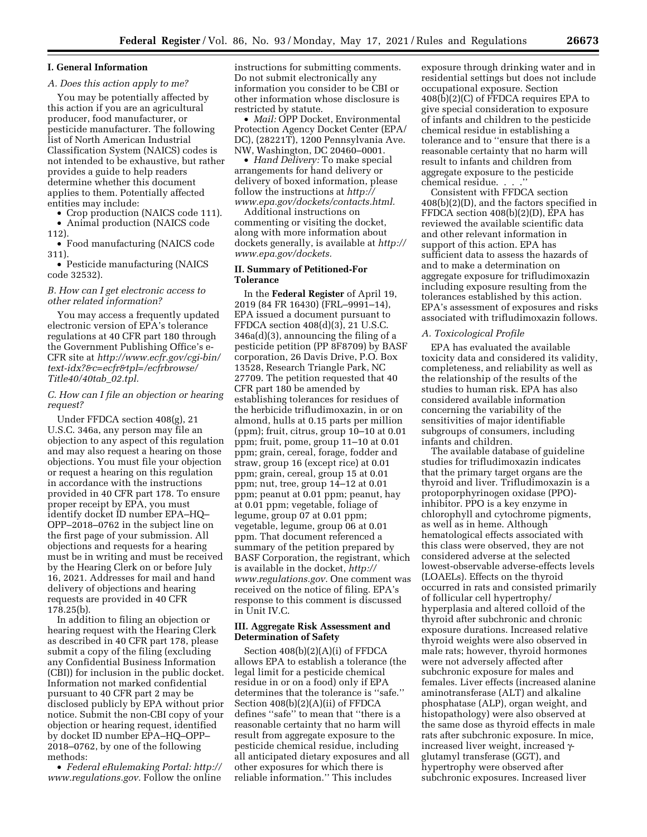# **I. General Information**

# *A. Does this action apply to me?*

You may be potentially affected by this action if you are an agricultural producer, food manufacturer, or pesticide manufacturer. The following list of North American Industrial Classification System (NAICS) codes is not intended to be exhaustive, but rather provides a guide to help readers determine whether this document applies to them. Potentially affected entities may include:

• Crop production (NAICS code 111).

• Animal production (NAICS code 112).

• Food manufacturing (NAICS code 311).

• Pesticide manufacturing (NAICS code 32532).

### *B. How can I get electronic access to other related information?*

You may access a frequently updated electronic version of EPA's tolerance regulations at 40 CFR part 180 through the Government Publishing Office's e-CFR site at *[http://www.ecfr.gov/cgi-bin/](http://www.ecfr.gov/cgi-bin/text-idx?&c=ecfr&tpl=/ecfrbrowse/Title40/40tab_02.tpl)  [text-idx?&c=ecfr&tpl=/ecfrbrowse/](http://www.ecfr.gov/cgi-bin/text-idx?&c=ecfr&tpl=/ecfrbrowse/Title40/40tab_02.tpl) [Title40/40tab](http://www.ecfr.gov/cgi-bin/text-idx?&c=ecfr&tpl=/ecfrbrowse/Title40/40tab_02.tpl)*\_*02.tpl.* 

## *C. How can I file an objection or hearing request?*

Under FFDCA section 408(g), 21 U.S.C. 346a, any person may file an objection to any aspect of this regulation and may also request a hearing on those objections. You must file your objection or request a hearing on this regulation in accordance with the instructions provided in 40 CFR part 178. To ensure proper receipt by EPA, you must identify docket ID number EPA–HQ– OPP–2018–0762 in the subject line on the first page of your submission. All objections and requests for a hearing must be in writing and must be received by the Hearing Clerk on or before July 16, 2021. Addresses for mail and hand delivery of objections and hearing requests are provided in 40 CFR 178.25(b).

In addition to filing an objection or hearing request with the Hearing Clerk as described in 40 CFR part 178, please submit a copy of the filing (excluding any Confidential Business Information (CBI)) for inclusion in the public docket. Information not marked confidential pursuant to 40 CFR part 2 may be disclosed publicly by EPA without prior notice. Submit the non-CBI copy of your objection or hearing request, identified by docket ID number EPA–HQ–OPP– 2018–0762, by one of the following methods:

• *Federal eRulemaking Portal: [http://](http://www.regulations.gov)  [www.regulations.gov.](http://www.regulations.gov)* Follow the online instructions for submitting comments. Do not submit electronically any information you consider to be CBI or other information whose disclosure is restricted by statute.

• *Mail:* OPP Docket, Environmental Protection Agency Docket Center (EPA/ DC), (28221T), 1200 Pennsylvania Ave. NW, Washington, DC 20460–0001.

• *Hand Delivery:* To make special arrangements for hand delivery or delivery of boxed information, please follow the instructions at *[http://](http://www.epa.gov/dockets/contacts.html) [www.epa.gov/dockets/contacts.html.](http://www.epa.gov/dockets/contacts.html)* 

Additional instructions on commenting or visiting the docket, along with more information about dockets generally, is available at *[http://](http://www.epa.gov/dockets) [www.epa.gov/dockets.](http://www.epa.gov/dockets)* 

### **II. Summary of Petitioned-For Tolerance**

In the **Federal Register** of April 19, 2019 (84 FR 16430) (FRL–9991–14), EPA issued a document pursuant to FFDCA section 408(d)(3), 21 U.S.C. 346a(d)(3), announcing the filing of a pesticide petition (PP 8F8709) by BASF corporation, 26 Davis Drive, P.O. Box 13528, Research Triangle Park, NC 27709. The petition requested that 40 CFR part 180 be amended by establishing tolerances for residues of the herbicide trifludimoxazin, in or on almond, hulls at 0.15 parts per million (ppm); fruit, citrus, group 10–10 at 0.01 ppm; fruit, pome, group 11–10 at 0.01 ppm; grain, cereal, forage, fodder and straw, group 16 (except rice) at 0.01 ppm; grain, cereal, group 15 at 0.01 ppm; nut, tree, group 14–12 at 0.01 ppm; peanut at 0.01 ppm; peanut, hay at 0.01 ppm; vegetable, foliage of legume, group 07 at 0.01 ppm; vegetable, legume, group 06 at 0.01 ppm. That document referenced a summary of the petition prepared by BASF Corporation, the registrant, which is available in the docket, *[http://](http://www.regulations.gov) [www.regulations.gov.](http://www.regulations.gov)* One comment was received on the notice of filing. EPA's response to this comment is discussed in Unit IV.C.

## **III. Aggregate Risk Assessment and Determination of Safety**

Section 408(b)(2)(A)(i) of FFDCA allows EPA to establish a tolerance (the legal limit for a pesticide chemical residue in or on a food) only if EPA determines that the tolerance is ''safe.'' Section 408(b)(2)(A)(ii) of FFDCA defines ''safe'' to mean that ''there is a reasonable certainty that no harm will result from aggregate exposure to the pesticide chemical residue, including all anticipated dietary exposures and all other exposures for which there is reliable information.'' This includes

exposure through drinking water and in residential settings but does not include occupational exposure. Section 408(b)(2)(C) of FFDCA requires EPA to give special consideration to exposure of infants and children to the pesticide chemical residue in establishing a tolerance and to ''ensure that there is a reasonable certainty that no harm will result to infants and children from aggregate exposure to the pesticide chemical residue. . . .''

Consistent with FFDCA section 408(b)(2)(D), and the factors specified in FFDCA section 408(b)(2)(D), EPA has reviewed the available scientific data and other relevant information in support of this action. EPA has sufficient data to assess the hazards of and to make a determination on aggregate exposure for trifludimoxazin including exposure resulting from the tolerances established by this action. EPA's assessment of exposures and risks associated with trifludimoxazin follows.

#### *A. Toxicological Profile*

EPA has evaluated the available toxicity data and considered its validity, completeness, and reliability as well as the relationship of the results of the studies to human risk. EPA has also considered available information concerning the variability of the sensitivities of major identifiable subgroups of consumers, including infants and children.

The available database of guideline studies for trifludimoxazin indicates that the primary target organs are the thyroid and liver. Trifludimoxazin is a protoporphyrinogen oxidase (PPO) inhibitor. PPO is a key enzyme in chlorophyll and cytochrome pigments, as well as in heme. Although hematological effects associated with this class were observed, they are not considered adverse at the selected lowest-observable adverse-effects levels (LOAELs). Effects on the thyroid occurred in rats and consisted primarily of follicular cell hypertrophy/ hyperplasia and altered colloid of the thyroid after subchronic and chronic exposure durations. Increased relative thyroid weights were also observed in male rats; however, thyroid hormones were not adversely affected after subchronic exposure for males and females. Liver effects (increased alanine aminotransferase (ALT) and alkaline phosphatase (ALP), organ weight, and histopathology) were also observed at the same dose as thyroid effects in male rats after subchronic exposure. In mice, increased liver weight, increased  $\gamma$ glutamyl transferase (GGT), and hypertrophy were observed after subchronic exposures. Increased liver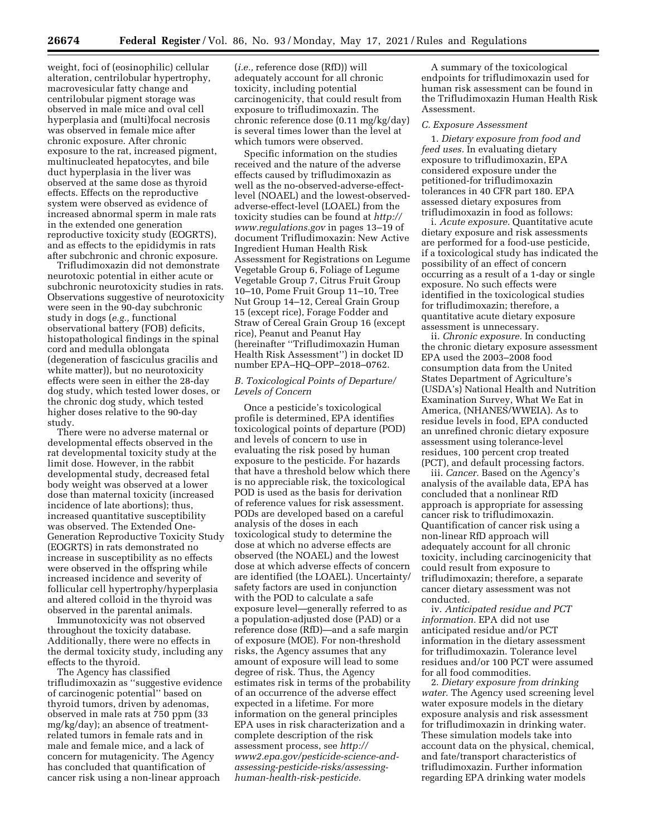weight, foci of (eosinophilic) cellular alteration, centrilobular hypertrophy, macrovesicular fatty change and centrilobular pigment storage was observed in male mice and oval cell hyperplasia and (multi)focal necrosis was observed in female mice after chronic exposure. After chronic exposure to the rat, increased pigment, multinucleated hepatocytes, and bile duct hyperplasia in the liver was observed at the same dose as thyroid effects. Effects on the reproductive system were observed as evidence of increased abnormal sperm in male rats in the extended one generation reproductive toxicity study (EOGRTS), and as effects to the epididymis in rats after subchronic and chronic exposure.

Trifludimoxazin did not demonstrate neurotoxic potential in either acute or subchronic neurotoxicity studies in rats. Observations suggestive of neurotoxicity were seen in the 90-day subchronic study in dogs (*e.g.,* functional observational battery (FOB) deficits, histopathological findings in the spinal cord and medulla oblongata (degeneration of fasciculus gracilis and white matter)), but no neurotoxicity effects were seen in either the 28-day dog study, which tested lower doses, or the chronic dog study, which tested higher doses relative to the 90-day study.

There were no adverse maternal or developmental effects observed in the rat developmental toxicity study at the limit dose. However, in the rabbit developmental study, decreased fetal body weight was observed at a lower dose than maternal toxicity (increased incidence of late abortions); thus, increased quantitative susceptibility was observed. The Extended One-Generation Reproductive Toxicity Study (EOGRTS) in rats demonstrated no increase in susceptibility as no effects were observed in the offspring while increased incidence and severity of follicular cell hypertrophy/hyperplasia and altered colloid in the thyroid was observed in the parental animals.

Immunotoxicity was not observed throughout the toxicity database. Additionally, there were no effects in the dermal toxicity study, including any effects to the thyroid.

The Agency has classified trifludimoxazin as ''suggestive evidence of carcinogenic potential'' based on thyroid tumors, driven by adenomas, observed in male rats at 750 ppm (33 mg/kg/day); an absence of treatmentrelated tumors in female rats and in male and female mice, and a lack of concern for mutagenicity. The Agency has concluded that quantification of cancer risk using a non-linear approach

(*i.e.,* reference dose (RfD)) will adequately account for all chronic toxicity, including potential carcinogenicity, that could result from exposure to trifludimoxazin. The chronic reference dose (0.11 mg/kg/day) is several times lower than the level at which tumors were observed.

Specific information on the studies received and the nature of the adverse effects caused by trifludimoxazin as well as the no-observed-adverse-effectlevel (NOAEL) and the lowest-observedadverse-effect-level (LOAEL) from the toxicity studies can be found at *[http://](http://www.regulations.gov) [www.regulations.gov](http://www.regulations.gov)* in pages 13–19 of document Trifludimoxazin: New Active Ingredient Human Health Risk Assessment for Registrations on Legume Vegetable Group 6, Foliage of Legume Vegetable Group 7, Citrus Fruit Group 10–10, Pome Fruit Group 11–10, Tree Nut Group 14–12, Cereal Grain Group 15 (except rice), Forage Fodder and Straw of Cereal Grain Group 16 (except rice), Peanut and Peanut Hay (hereinafter ''Trifludimoxazin Human Health Risk Assessment'') in docket ID number EPA–HQ–OPP–2018–0762.

# *B. Toxicological Points of Departure/ Levels of Concern*

Once a pesticide's toxicological profile is determined, EPA identifies toxicological points of departure (POD) and levels of concern to use in evaluating the risk posed by human exposure to the pesticide. For hazards that have a threshold below which there is no appreciable risk, the toxicological POD is used as the basis for derivation of reference values for risk assessment. PODs are developed based on a careful analysis of the doses in each toxicological study to determine the dose at which no adverse effects are observed (the NOAEL) and the lowest dose at which adverse effects of concern are identified (the LOAEL). Uncertainty/ safety factors are used in conjunction with the POD to calculate a safe exposure level—generally referred to as a population-adjusted dose (PAD) or a reference dose (RfD)—and a safe margin of exposure (MOE). For non-threshold risks, the Agency assumes that any amount of exposure will lead to some degree of risk. Thus, the Agency estimates risk in terms of the probability of an occurrence of the adverse effect expected in a lifetime. For more information on the general principles EPA uses in risk characterization and a complete description of the risk assessment process, see *[http://](http://www2.epa.gov/pesticide-science-and-assessing-pesticide-risks/assessing-human-health-risk-pesticides) [www2.epa.gov/pesticide-science-and](http://www2.epa.gov/pesticide-science-and-assessing-pesticide-risks/assessing-human-health-risk-pesticides)[assessing-pesticide-risks/assessing](http://www2.epa.gov/pesticide-science-and-assessing-pesticide-risks/assessing-human-health-risk-pesticides)[human-health-risk-pesticide.](http://www2.epa.gov/pesticide-science-and-assessing-pesticide-risks/assessing-human-health-risk-pesticides)* 

A summary of the toxicological endpoints for trifludimoxazin used for human risk assessment can be found in the Trifludimoxazin Human Health Risk Assessment.

#### *C. Exposure Assessment*

1. *Dietary exposure from food and feed uses.* In evaluating dietary exposure to trifludimoxazin, EPA considered exposure under the petitioned-for trifludimoxazin tolerances in 40 CFR part 180. EPA assessed dietary exposures from trifludimoxazin in food as follows:

i. *Acute exposure.* Quantitative acute dietary exposure and risk assessments are performed for a food-use pesticide, if a toxicological study has indicated the possibility of an effect of concern occurring as a result of a 1-day or single exposure. No such effects were identified in the toxicological studies for trifludimoxazin; therefore, a quantitative acute dietary exposure assessment is unnecessary.

ii. *Chronic exposure.* In conducting the chronic dietary exposure assessment EPA used the 2003–2008 food consumption data from the United States Department of Agriculture's (USDA's) National Health and Nutrition Examination Survey, What We Eat in America, (NHANES/WWEIA). As to residue levels in food, EPA conducted an unrefined chronic dietary exposure assessment using tolerance-level residues, 100 percent crop treated (PCT), and default processing factors.

iii. *Cancer.* Based on the Agency's analysis of the available data, EPA has concluded that a nonlinear RfD approach is appropriate for assessing cancer risk to trifludimoxazin. Quantification of cancer risk using a non-linear RfD approach will adequately account for all chronic toxicity, including carcinogenicity that could result from exposure to trifludimoxazin; therefore, a separate cancer dietary assessment was not conducted.

iv. *Anticipated residue and PCT information.* EPA did not use anticipated residue and/or PCT information in the dietary assessment for trifludimoxazin. Tolerance level residues and/or 100 PCT were assumed for all food commodities.

2. *Dietary exposure from drinking water.* The Agency used screening level water exposure models in the dietary exposure analysis and risk assessment for trifludimoxazin in drinking water. These simulation models take into account data on the physical, chemical, and fate/transport characteristics of trifludimoxazin. Further information regarding EPA drinking water models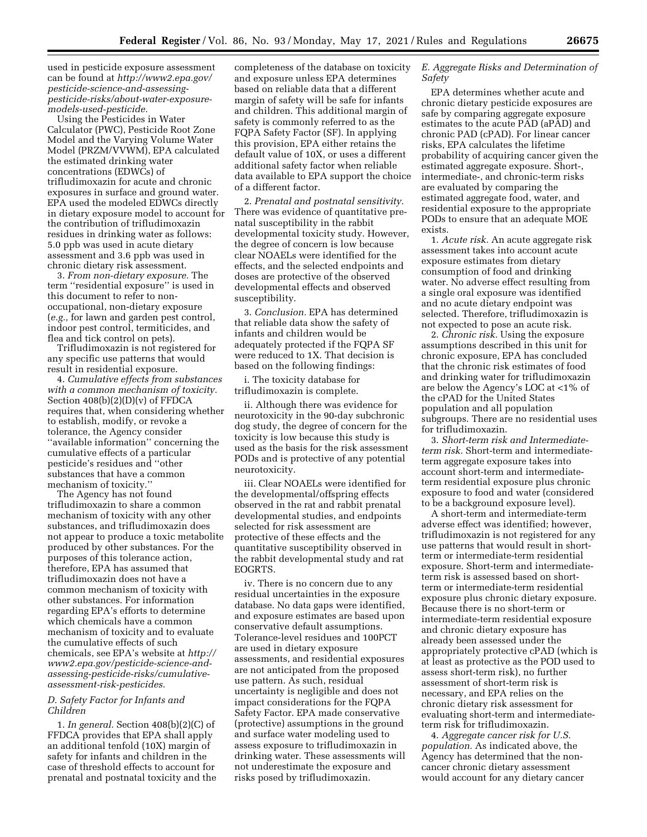used in pesticide exposure assessment can be found at *[http://www2.epa.gov/](http://www2.epa.gov/pesticide-science-and-assessing-pesticide-risks/about-water-exposure-models-used-pesticide)  [pesticide-science-and-assessing](http://www2.epa.gov/pesticide-science-and-assessing-pesticide-risks/about-water-exposure-models-used-pesticide)[pesticide-risks/about-water-exposure](http://www2.epa.gov/pesticide-science-and-assessing-pesticide-risks/about-water-exposure-models-used-pesticide)[models-used-pesticide.](http://www2.epa.gov/pesticide-science-and-assessing-pesticide-risks/about-water-exposure-models-used-pesticide)* 

Using the Pesticides in Water Calculator (PWC), Pesticide Root Zone Model and the Varying Volume Water Model (PRZM/VVWM), EPA calculated the estimated drinking water concentrations (EDWCs) of trifludimoxazin for acute and chronic exposures in surface and ground water. EPA used the modeled EDWCs directly in dietary exposure model to account for the contribution of trifludimoxazin residues in drinking water as follows: 5.0 ppb was used in acute dietary assessment and 3.6 ppb was used in chronic dietary risk assessment.

3. *From non-dietary exposure.* The term ''residential exposure'' is used in this document to refer to nonoccupational, non-dietary exposure (*e.g.,* for lawn and garden pest control, indoor pest control, termiticides, and flea and tick control on pets).

Trifludimoxazin is not registered for any specific use patterns that would result in residential exposure.

4. *Cumulative effects from substances with a common mechanism of toxicity.*  Section 408(b)(2)(D)(v) of FFDCA requires that, when considering whether to establish, modify, or revoke a tolerance, the Agency consider ''available information'' concerning the cumulative effects of a particular pesticide's residues and ''other substances that have a common mechanism of toxicity.''

The Agency has not found trifludimoxazin to share a common mechanism of toxicity with any other substances, and trifludimoxazin does not appear to produce a toxic metabolite produced by other substances. For the purposes of this tolerance action, therefore, EPA has assumed that trifludimoxazin does not have a common mechanism of toxicity with other substances. For information regarding EPA's efforts to determine which chemicals have a common mechanism of toxicity and to evaluate the cumulative effects of such chemicals, see EPA's website at *[http://](http://www2.epa.gov/pesticide-science-and-assessing-pesticide-risks/cumulative-assessment-risk-pesticides)  [www2.epa.gov/pesticide-science-and](http://www2.epa.gov/pesticide-science-and-assessing-pesticide-risks/cumulative-assessment-risk-pesticides)[assessing-pesticide-risks/cumulative](http://www2.epa.gov/pesticide-science-and-assessing-pesticide-risks/cumulative-assessment-risk-pesticides)[assessment-risk-pesticides.](http://www2.epa.gov/pesticide-science-and-assessing-pesticide-risks/cumulative-assessment-risk-pesticides)* 

### *D. Safety Factor for Infants and Children*

1. *In general.* Section 408(b)(2)(C) of FFDCA provides that EPA shall apply an additional tenfold (10X) margin of safety for infants and children in the case of threshold effects to account for prenatal and postnatal toxicity and the completeness of the database on toxicity and exposure unless EPA determines based on reliable data that a different margin of safety will be safe for infants and children. This additional margin of safety is commonly referred to as the FQPA Safety Factor (SF). In applying this provision, EPA either retains the default value of 10X, or uses a different additional safety factor when reliable data available to EPA support the choice of a different factor.

2. *Prenatal and postnatal sensitivity.*  There was evidence of quantitative prenatal susceptibility in the rabbit developmental toxicity study. However, the degree of concern is low because clear NOAELs were identified for the effects, and the selected endpoints and doses are protective of the observed developmental effects and observed susceptibility.

3. *Conclusion.* EPA has determined that reliable data show the safety of infants and children would be adequately protected if the FQPA SF were reduced to 1X. That decision is based on the following findings:

i. The toxicity database for trifludimoxazin is complete.

ii. Although there was evidence for neurotoxicity in the 90-day subchronic dog study, the degree of concern for the toxicity is low because this study is used as the basis for the risk assessment PODs and is protective of any potential neurotoxicity.

iii. Clear NOAELs were identified for the developmental/offspring effects observed in the rat and rabbit prenatal developmental studies, and endpoints selected for risk assessment are protective of these effects and the quantitative susceptibility observed in the rabbit developmental study and rat EOGRTS.

iv. There is no concern due to any residual uncertainties in the exposure database. No data gaps were identified, and exposure estimates are based upon conservative default assumptions. Tolerance-level residues and 100PCT are used in dietary exposure assessments, and residential exposures are not anticipated from the proposed use pattern. As such, residual uncertainty is negligible and does not impact considerations for the FQPA Safety Factor. EPA made conservative (protective) assumptions in the ground and surface water modeling used to assess exposure to trifludimoxazin in drinking water. These assessments will not underestimate the exposure and risks posed by trifludimoxazin.

## *E. Aggregate Risks and Determination of Safety*

EPA determines whether acute and chronic dietary pesticide exposures are safe by comparing aggregate exposure estimates to the acute PAD (aPAD) and chronic PAD (cPAD). For linear cancer risks, EPA calculates the lifetime probability of acquiring cancer given the estimated aggregate exposure. Short-, intermediate-, and chronic-term risks are evaluated by comparing the estimated aggregate food, water, and residential exposure to the appropriate PODs to ensure that an adequate MOE exists.

1. *Acute risk.* An acute aggregate risk assessment takes into account acute exposure estimates from dietary consumption of food and drinking water. No adverse effect resulting from a single oral exposure was identified and no acute dietary endpoint was selected. Therefore, trifludimoxazin is not expected to pose an acute risk.

2. *Chronic risk.* Using the exposure assumptions described in this unit for chronic exposure, EPA has concluded that the chronic risk estimates of food and drinking water for trifludimoxazin are below the Agency's LOC at <1% of the cPAD for the United States population and all population subgroups. There are no residential uses for trifludimoxazin.

3. *Short-term risk and Intermediateterm risk.* Short-term and intermediateterm aggregate exposure takes into account short-term and intermediateterm residential exposure plus chronic exposure to food and water (considered to be a background exposure level).

A short-term and intermediate-term adverse effect was identified; however, trifludimoxazin is not registered for any use patterns that would result in shortterm or intermediate-term residential exposure. Short-term and intermediateterm risk is assessed based on shortterm or intermediate-term residential exposure plus chronic dietary exposure. Because there is no short-term or intermediate-term residential exposure and chronic dietary exposure has already been assessed under the appropriately protective cPAD (which is at least as protective as the POD used to assess short-term risk), no further assessment of short-term risk is necessary, and EPA relies on the chronic dietary risk assessment for evaluating short-term and intermediateterm risk for trifludimoxazin.

4. *Aggregate cancer risk for U.S. population.* As indicated above, the Agency has determined that the noncancer chronic dietary assessment would account for any dietary cancer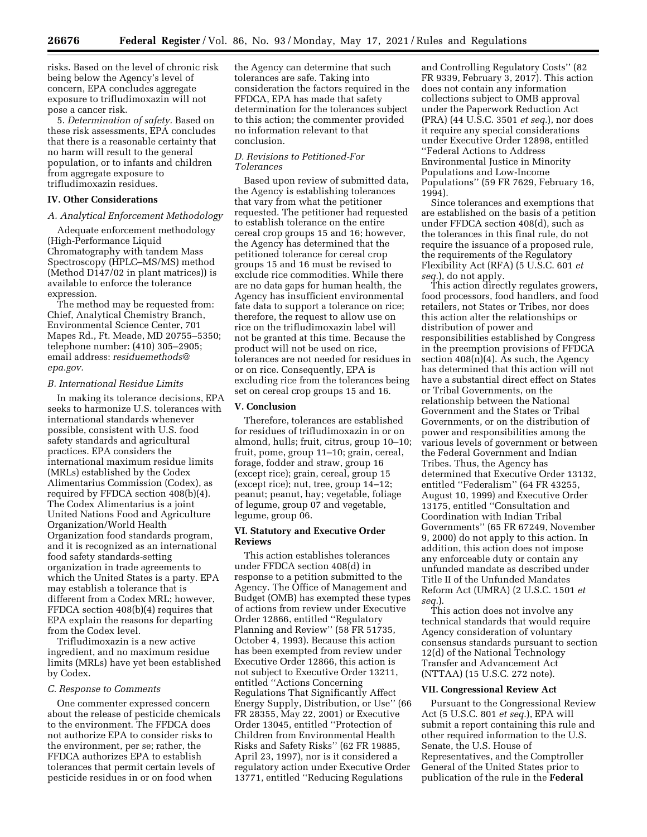risks. Based on the level of chronic risk being below the Agency's level of concern, EPA concludes aggregate exposure to trifludimoxazin will not pose a cancer risk.

5. *Determination of safety.* Based on these risk assessments, EPA concludes that there is a reasonable certainty that no harm will result to the general population, or to infants and children from aggregate exposure to trifludimoxazin residues.

#### **IV. Other Considerations**

## *A. Analytical Enforcement Methodology*

Adequate enforcement methodology (High-Performance Liquid Chromatography with tandem Mass Spectroscopy (HPLC–MS/MS) method (Method D147/02 in plant matrices)) is available to enforce the tolerance expression.

The method may be requested from: Chief, Analytical Chemistry Branch, Environmental Science Center, 701 Mapes Rd., Ft. Meade, MD 20755–5350; telephone number: (410) 305–2905; email address: *[residuemethods@](mailto:residuemethods@epa.gov) [epa.gov.](mailto:residuemethods@epa.gov)* 

#### *B. International Residue Limits*

In making its tolerance decisions, EPA seeks to harmonize U.S. tolerances with international standards whenever possible, consistent with U.S. food safety standards and agricultural practices. EPA considers the international maximum residue limits (MRLs) established by the Codex Alimentarius Commission (Codex), as required by FFDCA section 408(b)(4). The Codex Alimentarius is a joint United Nations Food and Agriculture Organization/World Health Organization food standards program, and it is recognized as an international food safety standards-setting organization in trade agreements to which the United States is a party. EPA may establish a tolerance that is different from a Codex MRL; however, FFDCA section 408(b)(4) requires that EPA explain the reasons for departing from the Codex level.

Trifludimoxazin is a new active ingredient, and no maximum residue limits (MRLs) have yet been established by Codex.

#### *C. Response to Comments*

One commenter expressed concern about the release of pesticide chemicals to the environment. The FFDCA does not authorize EPA to consider risks to the environment, per se; rather, the FFDCA authorizes EPA to establish tolerances that permit certain levels of pesticide residues in or on food when

the Agency can determine that such tolerances are safe. Taking into consideration the factors required in the FFDCA, EPA has made that safety determination for the tolerances subject to this action; the commenter provided no information relevant to that conclusion.

# *D. Revisions to Petitioned-For Tolerances*

Based upon review of submitted data, the Agency is establishing tolerances that vary from what the petitioner requested. The petitioner had requested to establish tolerance on the entire cereal crop groups 15 and 16; however, the Agency has determined that the petitioned tolerance for cereal crop groups 15 and 16 must be revised to exclude rice commodities. While there are no data gaps for human health, the Agency has insufficient environmental fate data to support a tolerance on rice; therefore, the request to allow use on rice on the trifludimoxazin label will not be granted at this time. Because the product will not be used on rice, tolerances are not needed for residues in or on rice. Consequently, EPA is excluding rice from the tolerances being set on cereal crop groups 15 and 16.

## **V. Conclusion**

Therefore, tolerances are established for residues of trifludimoxazin in or on almond, hulls; fruit, citrus, group 10–10; fruit, pome, group 11–10; grain, cereal, forage, fodder and straw, group 16 (except rice); grain, cereal, group 15 (except rice); nut, tree, group 14–12; peanut; peanut, hay; vegetable, foliage of legume, group 07 and vegetable, legume, group 06.

## **VI. Statutory and Executive Order Reviews**

This action establishes tolerances under FFDCA section 408(d) in response to a petition submitted to the Agency. The Office of Management and Budget (OMB) has exempted these types of actions from review under Executive Order 12866, entitled ''Regulatory Planning and Review'' (58 FR 51735, October 4, 1993). Because this action has been exempted from review under Executive Order 12866, this action is not subject to Executive Order 13211, entitled ''Actions Concerning Regulations That Significantly Affect Energy Supply, Distribution, or Use'' (66 FR 28355, May 22, 2001) or Executive Order 13045, entitled ''Protection of Children from Environmental Health Risks and Safety Risks'' (62 FR 19885, April 23, 1997), nor is it considered a regulatory action under Executive Order 13771, entitled ''Reducing Regulations

and Controlling Regulatory Costs'' (82 FR 9339, February 3, 2017). This action does not contain any information collections subject to OMB approval under the Paperwork Reduction Act (PRA) (44 U.S.C. 3501 *et seq.*), nor does it require any special considerations under Executive Order 12898, entitled ''Federal Actions to Address Environmental Justice in Minority Populations and Low-Income Populations'' (59 FR 7629, February 16, 1994).

Since tolerances and exemptions that are established on the basis of a petition under FFDCA section 408(d), such as the tolerances in this final rule, do not require the issuance of a proposed rule, the requirements of the Regulatory Flexibility Act (RFA) (5 U.S.C. 601 *et seq.*), do not apply.

This action directly regulates growers, food processors, food handlers, and food retailers, not States or Tribes, nor does this action alter the relationships or distribution of power and responsibilities established by Congress in the preemption provisions of FFDCA section  $408(n)(4)$ . As such, the Agency has determined that this action will not have a substantial direct effect on States or Tribal Governments, on the relationship between the National Government and the States or Tribal Governments, or on the distribution of power and responsibilities among the various levels of government or between the Federal Government and Indian Tribes. Thus, the Agency has determined that Executive Order 13132, entitled ''Federalism'' (64 FR 43255, August 10, 1999) and Executive Order 13175, entitled ''Consultation and Coordination with Indian Tribal Governments'' (65 FR 67249, November 9, 2000) do not apply to this action. In addition, this action does not impose any enforceable duty or contain any unfunded mandate as described under Title II of the Unfunded Mandates Reform Act (UMRA) (2 U.S.C. 1501 *et seq.*).

This action does not involve any technical standards that would require Agency consideration of voluntary consensus standards pursuant to section 12(d) of the National Technology Transfer and Advancement Act (NTTAA) (15 U.S.C. 272 note).

#### **VII. Congressional Review Act**

Pursuant to the Congressional Review Act (5 U.S.C. 801 *et seq.*), EPA will submit a report containing this rule and other required information to the U.S. Senate, the U.S. House of Representatives, and the Comptroller General of the United States prior to publication of the rule in the **Federal**